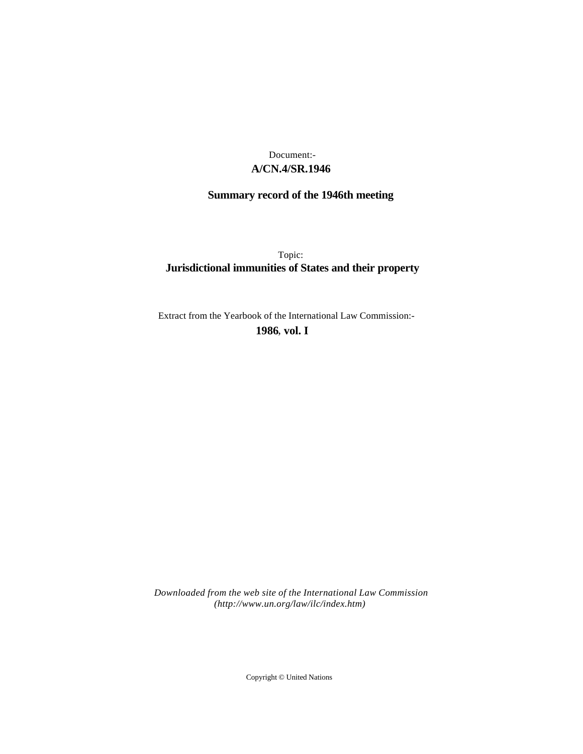## **A/CN.4/SR.1946** Document:-

# **Summary record of the 1946th meeting**

Topic: **Jurisdictional immunities of States and their property**

Extract from the Yearbook of the International Law Commission:-

**1986** , **vol. I**

*Downloaded from the web site of the International Law Commission (http://www.un.org/law/ilc/index.htm)*

Copyright © United Nations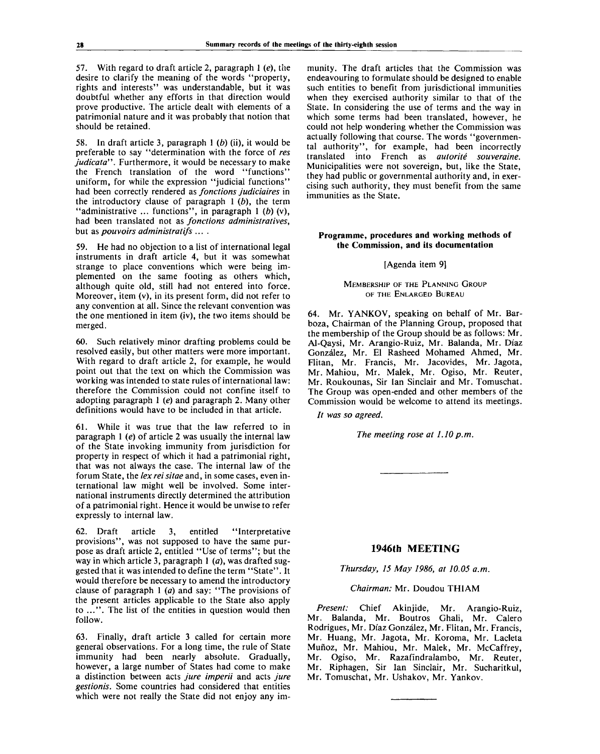57. With regard to draft article 2, paragraph 1 *(e),* the desire to clarify the meaning of the words "property, rights and interests" was understandable, but it was doubtful whether any efforts in that direction would prove productive. The article dealt with elements of a patrimonial nature and it was probably that notion that should be retained.

58. In draft article 3, paragraph 1 *(b)* (ii), it would be preferable to say "determination with the force of *res judicata".* Furthermore, it would be necessary to make the French translation of the word "functions" uniform, for while the expression "judicial functions" had been correctly rendered as *fonctions judiciaires* in the introductory clause of paragraph 1 *(b),* the term "administrative ... functions", in paragraph 1 (b) (v), had been translated not as *fonctions administratives,* but as *pouvoirs administratifs* ....

59. He had no objection to a list of international legal instruments in draft article 4, but it was somewhat strange to place conventions which were being implemented on the same footing as others which, although quite old, still had not entered into force. Moreover, item (v), in its present form, did not refer to any convention at all. Since the relevant convention was the one mentioned in item (iv), the two items should be merged.

60. Such relatively minor drafting problems could be resolved easily, but other matters were more important. With regard to draft article 2, for example, he would point out that the text on which the Commission was working was intended to state rules of international law: therefore the Commission could not confine itself to adopting paragraph 1 *(e)* and paragraph 2. Many other definitions would have to be included in that article.

61. While it was true that the law referred to in paragraph 1 *(e)* of article 2 was usually the internal law of the State invoking immunity from jurisdiction for property in respect of which it had a patrimonial right, that was not always the case. The internal law of the forum State, the *lex rei sitae* and, in some cases, even international law might well be involved. Some international instruments directly determined the attribution of a patrimonial right. Hence it would be unwise to refer expressly to internal law.

62. Draft article 3, entitled "Interpretative provisions", was not supposed to have the same purpose as draft article 2, entitled "Use of terms"; but the way in which article 3, paragraph  $1$  (*a*), was drafted suggested that it was intended to define the term "State". It would therefore be necessary to amend the introductory clause of paragraph 1 *(a)* and say: "The provisions of the present articles applicable to the State also apply to ...". The list of the entities in question would then follow.

63. Finally, draft article 3 called for certain more general observations. For a long time, the rule of State immunity had been nearly absolute. Gradually, however, a large number of States had come to make a distinction between acts *jure imperil* and acts *jure gestionis.* Some countries had considered that entities which were not really the State did not enjoy any im-

munity. The draft articles that the Commission was endeavouring to formulate should be designed to enable such entities to benefit from jurisdictional immunities when they exercised authority similar to that of the State. In considering the use of terms and the way in which some terms had been translated, however, he could not help wondering whether the Commission was actually following that course. The words "governmental authority", for example, had been incorrectly translated into French as *autorite souveraine.* Municipalities were not sovereign, but, like the State, they had public or governmental authority and, in exercising such authority, they must benefit from the same immunities as the State.

#### **Programme, procedures and working methods of the Commission, and its documentation**

[Agenda item 9]

MEMBERSHIP OF THE PLANNING GROUP OF THE ENLARGED BUREAU

64. Mr. YANKOV, speaking on behalf of Mr. Barboza, Chairman of the Planning Group, proposed that the membership of the Group should be as follows: Mr. Al-Qaysi, Mr. Arangio-Ruiz, Mr. Balanda, Mr. Diaz Gonzalez, Mr. El Rasheed Mohamed Ahmed, Mr. Flitan, Mr. Francis, Mr. Jacovides, Mr. Jagota, Mr. Mahiou, Mr. Malek, Mr. Ogiso, Mr. Reuter, Mr. Roukounas, Sir Ian Sinclair and Mr. Tomuschat. The Group was open-ended and other members of the Commission would be welcome to attend its meetings.

*It was so agreed.*

*The meeting rose at 1.10 p.m.*

### **1946th MEETING**

*Thursday, 15 May 1986, at 10.05 a.m.*

*Chairman:* Mr. Doudou THIAM

*Present:* Chief Akinjide, Mr. Arangio-Ruiz, Mr. Balanda, Mr. Boutros Ghali, Mr. Calero Rodrigues, Mr. Diaz Gonzalez, Mr. Flitan, Mr. Francis, Mr. Huang, Mr. Jagota, Mr. Koroma, Mr. Lacleta Muñoz, Mr. Mahiou, Mr. Malek, Mr. McCaffrey, Mr. Ogiso, Mr. Razafindralambo, Mr. Reuter, Mr. Riphagen, Sir Ian Sinclair, Mr. Sucharitkul, Mr. Tomuschat, Mr. Ushakov, Mr. Yankov.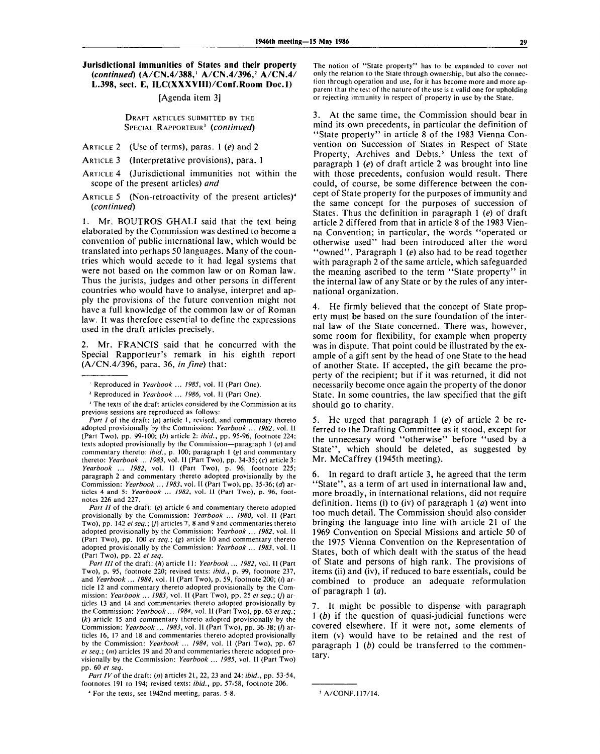#### **Jurisdictional immunities of States and their property** *(continued)* **(A/CN.4/388,<sup>1</sup> A/CN.4/396,<sup>2</sup> A/CN.4/ L.398, sect. E, ILC(XXXVIII)/Conf.Room Doc.l)**

#### [Agenda item 3]

DRAFT ARTICLES SUBMITTED BY THE SPECIAL RAPPORTEUR<sup>3</sup>  *(continued)*

ARTICLE 2 (Use of terms), paras. 1 *(e)* and 2

ARTICLE 3 (Interpretative provisions), para. 1

- ARTICLE 4 (Jurisdictional immunities not within the scope of the present articles) *and*
- ARTICLE 5 (Non-retroactivity of the present articles)<sup>4</sup> *(continued)*

1. Mr. BOUTROS GHALI said that the text being elaborated by the Commission was destined to become a convention of public international law, which would be translated into perhaps 50 languages. Many of the countries which would accede to it had legal systems that were not based on the common law or on Roman law. Thus the jurists, judges and other persons in different countries who would have to analyse, interpret and apply the provisions of the future convention might not have a full knowledge of the common law or of Roman law. It was therefore essential to define the expressions used in the draft articles precisely.

2. Mr. FRANCIS said that he concurred with the Special Rapporteur's remark in his eighth report (A/CN.4/396, para. 36, *in fine)* that:

<sup>1</sup> Reproduced in Yearbook ... 1985, vol. II (Part One).

<sup>3</sup> The texts of the draft articles considered by the Commission at its previous sessions are reproduced as follows:

*Part I* of the draft: *(a)* article 1, revised, and commentary thereto adopted provisionally by the Commission: *Yearbook ... 1982,* vol. II (Part Two), pp. 99-100; *(b)* article 2: *ibid.,* pp. 95-96, footnote 224; texts adopted provisionally by the Commission—paragraph 1 *(a)* and commentary thereto: *ibid.,* p. 100; paragraph 1 (g) and commentary thereto: *Yearbook ... 1983,* vol. II (Part Two), pp. 34-35; (c) article 3: *Yearbook ... 1982,* vol. II (Part Two), p. 96, footnote 225; paragraph 2 and commentary thereto adopted provisionally by the Commission: *Yearbook ... 1983,* vol. II (Part Two), pp. 35-36; *(d)* articles 4 and 5: *Yearbook* ... *1982,* vol. II (Part Two), p. 96, footnotes 226 and 227.

*Part II* of the draft: *(e)* article 6 and commentary thereto adopted provisionally by the Commission: *Yearbook ... 1980,* vol. II (Part Two), pp. 142 *et seq.; (f)* articles 7, 8 and 9 and commentaries thereto adopted provisionally by the Commission: *Yearbook ... 1982,* vol. II (Part Two), pp. 100 *et seq.; (g)* article 10 and commentary thereto adopted provisionally by the Commission: *Yearbook ... 1983,* vol. II (Part Two), pp. 22 *et seq.*

*Part* ///of the draft: *(h)* article 11: *Yearbook ... 1982,* vol. II (Part Two), p. 95, footnote 220; revised texts: *ibid.,* p. 99, footnote 237, and Yearbook ... 1984, vol. 11 (Part Two), p. 59, footnote 200; (i) article 12 and commentary thereto adopted provisionally by the Commission: *Yearbook ... 1983*, vol. II (Part Two), pp. 25 et seq.; (j) articles 13 and 14 and commentaries thereto adopted provisionally by the Commission: *Yearbook* ... *1984,* vol. II (Part Two), pp. 63 *el seq.; (k)* article 15 and commentary thereto adopted provisionally by the Commission: *Yearbook ... 1983,* vol. II (Part Two), pp. 36-38; (/) articles 16, 17 and 18 and commentaries thereto adopted provisionally by the Commission: *Yearbook* ... *1984,* vol. II (Part Two), pp. 67 *et seq.; (m)* articles 19 and 20 and commentaries thereto adopted provisionally by the Commission: *Yearbook ... 1985,* vol. II (Part Two) pp. 60 *et seq.*

*Part IV*of the draft: *(n)* articles 21, 22, 23 and 24: *ibid.,* pp. 53-54, footnotes 191 to 194; revised texts: *ibid.,* pp. 57-58, footnote 206.

The notion of "State property" has to be expanded to cover not only the relation to the State through ownership, but also the connection through operation and use, for it has become more and more apparent that the test of the nature of the use is a valid one for upholding or rejecting immunity in respect of property in use by the State.

3. At the same time, the Commission should bear in mind its own precedents, in particular the definition of "State property" in article 8 of the 1983 Vienna Convention on Succession of States in Respect of State Property, Archives and Debts.<sup>5</sup> Unless the text of paragraph 1 *(e)* of draft article 2 was brought into line with those precedents, confusion would result. There could, of course, be some difference between the concept of State property for the purposes of immunity and the same concept for the purposes of succession of States. Thus the definition in paragraph 1 *(e)* of draft article 2 differed from that in article 8 of the 1983 Vienna Convention; in particular, the words "operated or otherwise used" had been introduced after the word "owned". Paragraph 1 *(e)* also had to be read together with paragraph 2 of the same article, which safeguarded the meaning ascribed to the term "State property" in the internal law of any State or by the rules of any international organization.

4. He firmly believed that the concept of State property must be based on the sure foundation of the internal law of the State concerned. There was, however, some room for flexibility, for example when property was in dispute. That point could be illustrated by the example of a gift sent by the head of one State to the head of another State. If accepted, the gift became the property of the recipient; but if it was returned, it did not necessarily become once again the property of the donor State. In some countries, the law specified that the gift should go to charity.

5. He urged that paragraph 1 *(e)* of article 2 be referred to the Drafting Committee as it stood, except for the unnecesary word "otherwise" before "used by a State", which should be deleted, as suggested by Mr. McCaffrey (1945th meeting).

6. In regard to draft article 3, he agreed that the term "State", as a term of art used in international law and, more broadly, in international relations, did not require definition. Items (i) to (iv) of paragraph 1 *(a)* went into too much detail. The Commission should also consider bringing the language into line with article 21 of the 1969 Convention on Special Missions and article 50 of the 1975 Vienna Convention on the Representation of States, both of which dealt with the status of the head of State and persons of high rank. The provisions of items (ii) and (iv), if reduced to bare essentials, could be combined to produce an adequate reformulation of paragraph 1 *(a).*

It might be possible to dispense with paragraph 1 *(b)* if the question of quasi-judicial functions were covered elsewhere. If it were not, some elements of item (v) would have to be retained and the rest of paragraph 1 *(b)* could be transferred to the commentary.

<sup>2</sup> Reproduced in *Yearbook ... 1986,* vol. II (Part One).

<sup>4</sup> For the texts, see 1942nd meeting, paras. 5-8.

<sup>&#</sup>x27; A/CONF.117/14.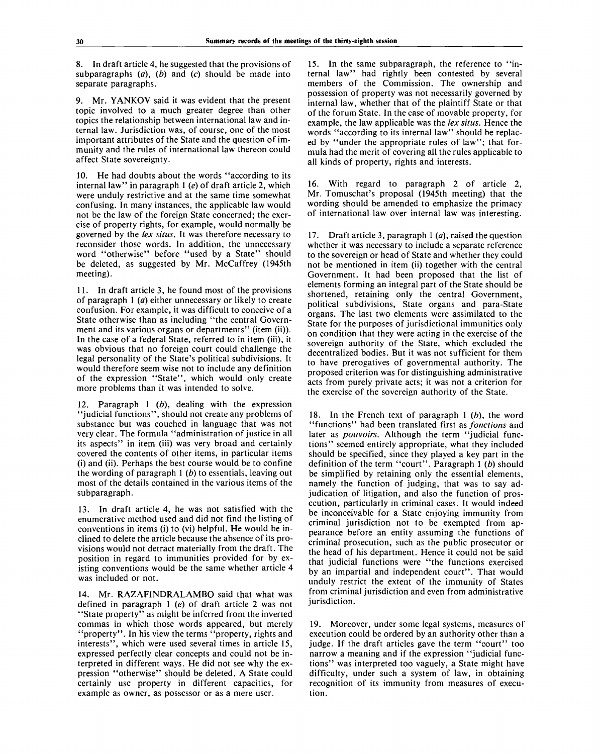8. In draft article 4, he suggested that the provisions of subparagraphs *(a), (b)* and (c) should be made into separate paragraphs.

Mr. YANKOV said it was evident that the present topic involved to a much greater degree than other topics the relationship between international law and internal law. Jurisdiction was, of course, one of the most important attributes of the State and the question of immunity and the rules of international law thereon could affect State sovereignty.

10. He had doubts about the words "according to its internal law" in paragraph 1 *(e)* of draft article 2, which were unduly restrictive and at the same time somewhat confusing. In many instances, the applicable law would not be the law of the foreign State concerned; the exercise of property rights, for example, would normally be governed by the *lex situs.* It was therefore necessary to reconsider those words. In addition, the unnecessary word "otherwise" before "used by a State" should be deleted, as suggested by Mr. McCaffrey (1945th meeting).

11. In draft article 3, he found most of the provisions of paragraph 1 *(a)* either unnecessary or likely to create confusion. For example, it was difficult to conceive of a State otherwise than as including "the central Government and its various organs or departments" (item (ii)). In the case of a federal State, referred to in item (iii), it was obvious that no foreign court could challenge the legal personality of the State's political subdivisions. It would therefore seem wise not to include any definition of the expression "State", which would only create more problems than it was intended to solve.

12. Paragraph 1 *(b),* dealing with the expression "judicial functions", should not create any problems of substance but was couched in language that was not very clear. The formula "administration of justice in all its aspects" in item (iii) was very broad and certainly covered the contents of other items, in particular items (i) and (ii). Perhaps the best course would be to confine the wording of paragraph 1 *(b)* to essentials, leaving out most of the details contained in the various items of the subparagraph.

13. In draft article 4, he was not satisfied with the enumerative method used and did not find the listing of conventions in items (i) to (vi) helpful. He would be inclined to delete the article because the absence of its provisions would not detract materially from the draft. The position in regard to immunities provided for by existing conventions would be the same whether article 4 was included or not.

14. Mr. RAZAFINDRALAMBO said that what was defined in paragraph 1 *(e)* of draft article 2 was not "State property" as might be inferred from the inverted commas in which those words appeared, but merely "property". In his view the terms "property, rights and interests", which were used several times in article 15, expressed perfectly clear concepts and could not be interpreted in different ways. He did not see why the expression "otherwise" should be deleted. A State could certainly use property in different capacities, for example as owner, as possessor or as a mere user.

15. In the same subparagraph, the reference to "internal law" had rightly been contested by several members of the Commission. The ownership and possession of property was not necessarily governed by internal law, whether that of the plaintiff State or that of the forum State. In the case of movable property, for example, the law applicable was the *lex situs.* Hence the words "according to its internal law" should be replaced by "under the appropriate rules of law"; that formula had the merit of covering all the rules applicable to all kinds of property, rights and interests.

16. With regard to paragraph 2 of article 2, Mr. Tomuschat's proposal (1945th meeting) that the wording should be amended to emphasize the primacy of international law over internal law was interesting.

17. Draft article 3, paragraph 1 *(a),* raised the question whether it was necessary to include a separate reference to the sovereign or head of State and whether they could not be mentioned in item (ii) together with the central Government. It had been proposed that the list of elements forming an integral part of the State should be shortened, retaining only the central Government, political subdivisions, State organs and para-State organs. The last two elements were assimilated to the State for the purposes of jurisdictional immunities only on condition that they were acting in the exercise of the sovereign authority of the State, which excluded the decentralized bodies. But it was not sufficient for them to have prerogatives of governmental authority. The proposed criterion was for distinguishing administrative acts from purely private acts; it was not a criterion for the exercise of the sovereign authority of the State.

18. In the French text of paragraph 1 *(b),* the word "functions" had been translated first as *fonctions* and later as *pouvoirs.* Although the term "judicial functions" seemed entirely appropriate, what they included should be specified, since they played a key part in the definition of the term "court". Paragraph 1 *(b)* should be simplified by retaining only the essential elements, namely the function of judging, that was to say adjudication of litigation, and also the function of prosecution, particularly in criminal cases. It would indeed be inconceivable for a State enjoying immunity from criminal jurisdiction not to be exempted from appearance before an entity assuming the functions of criminal prosecution, such as the public prosecutor or the head of his department. Hence it could not be said that judicial functions were "the functions exercised by an impartial and independent court". That would unduly restrict the extent of the immunity of States from criminal jurisdiction and even from administrative jurisdiction.

19. Moreover, under some legal systems, measures of execution could be ordered by an authority other than a judge. If the draft articles gave the term "court" too narrow a meaning and if the expression "judicial functions" was interpreted too vaguely, a State might have difficulty, under such a system of law, in obtaining recognition of its immunity from measures of execution.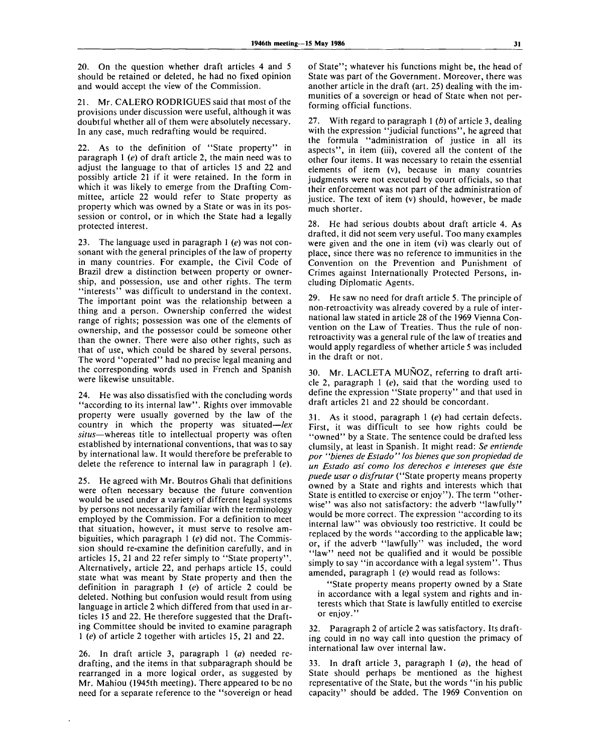20. On the question whether draft articles 4 and 5 should be retained or deleted, he had no fixed opinion and would accept the view of the Commission.

21. Mr. CALERO RODRIGUES said that most of the provisions under discussion were useful, although it was doubtful whether all of them were absolutely necessary. In any case, much redrafting would be required.

22. As to the definition of "State property" in paragraph  $1$  (e) of draft article 2, the main need was to adjust the language to that of articles 15 and 22 and possibly article 21 if it were retained. In the form in which it was likely to emerge from the Drafting Committee, article 22 would refer to State property as property which was owned by a State or was in its possession or control, or in which the State had a legally protected interest.

23. The language used in paragraph 1 *(e)* was not consonant with the general principles of the law of property in many countries. For example, the Civil Code of Brazil drew a distinction between property or ownership, and possession, use and other rights. The term "interests" was difficult to understand in the context. The important point was the relationship between a thing and a person. Ownership conferred the widest range of rights; possession was one of the elements of ownership, and the possessor could be someone other than the owner. There were also other rights, such as that of use, which could be shared by several persons. The word "operated" had no precise legal meaning and the corresponding words used in French and Spanish were likewise unsuitable.

24. He was also dissatisfied with the concluding words "according to its internal law". Rights over immovable property were usually governed by the law of the country in which the property was situated—*lex situs*—whereas title to intellectual property was often established by international conventions, that was to say by international law. It would therefore be preferable to delete the reference to internal law in paragraph 1 *(e).*

25. He agreed with Mr. Boutros Ghali that definitions were often necessary because the future convention would be used under a variety of different legal systems by persons not necessarily familiar with the terminology employed by the Commission. For a definition to meet that situation, however, it must serve to resolve ambiguities, which paragraph 1 *(e)* did not. The Commission should re-examine the definition carefully, and in articles 15, 21 and 22 refer simply to "State property". Alternatively, article 22, and perhaps article 15, could state what was meant by State property and then the definition in paragraph 1 *(e)* of article 2 could be deleted. Nothing but confusion would result from using language in article 2 which differed from that used in articles 15 and 22. He therefore suggested that the Drafting Committee should be invited to examine paragraph 1 *(e)* of article 2 together with articles 15, 21 and 22.

26. In draft article 3, paragraph 1 *(a)* needed redrafting, and the items in that subparagraph should be rearranged in a more logical order, as suggested by Mr. Mahiou (1945th meeting). There appeared to be no need for a separate reference to the "sovereign or head

of State"; whatever his functions might be, the head of State was part of the Government. Moreover, there was another article in the draft (art. 25) dealing with the immunities of a sovereign or head of State when not performing official functions.

27. With regard to paragraph 1 *(b)* of article 3, dealing with the expression "judicial functions", he agreed that the formula "administration of justice in all its aspects", in item (iii), covered all the content of the other four items. It was necessary to retain the essential elements of item (v), because in many countries judgments were not executed by court officials, so that their enforcement was not part of the administration of justice. The text of item (v) should, however, be made much shorter.

28. He had serious doubts about draft article 4. As drafted, it did not seem very useful. Too many examples were given and the one in item (vi) was clearly out of place, since there was no reference to immunities in the Convention on the Prevention and Punishment of Crimes against Internationally Protected Persons, including Diplomatic Agents.

29. He saw no need for draft article 5. The principle of non-retroactivity was already covered by a rule of international law stated in article 28 of the 1969 Vienna Convention on the Law of Treaties. Thus the rule of nonretroactivity was a general rule of the law of treaties and would apply regardless of whether article 5 was included in the draft or not.

30. Mr. LACLETA MUNOZ, referring to draft article 2, paragraph 1 *(e),* said that the wording used to define the expression "State property" and that used in draft articles 21 and 22 should be concordant.

31. As it stood, paragraph 1 *(e)* had certain defects. First, it was difficult to see how rights could be "owned" by a State. The sentence could be drafted less clumsily, at least in Spanish. It might read: *Se entiende* por "bienes de Estado" los bienes que son propiedad de *un Estado asi como los derechos e intereses que este puede usar o disfrutar* ("State property means property owned by a State and rights and interests which that State is entitled to exercise or enjoy"). The term "otherwise" was also not satisfactory: the adverb "lawfully" would be more correct. The expression "according to its internal law" was obviously too restrictive. It could be replaced by the words "according to the applicable law; or, if the adverb "lawfully" was included, the word "law" need not be qualified and it would be possible simply to say "in accordance with a legal system". Thus amended, paragraph 1 *(e)* would read as follows:

"State property means property owned by a State in accordance with a legal system and rights and interests which that State is lawfully entitled to exercise or enjoy."

32. Paragraph 2 of article 2 was satisfactory. Its drafting could in no way call into question the primacy of international law over internal law.

33. In draft article 3, paragraph 1 *(a),* the head of State should perhaps be mentioned as the highest representative of the State, but the words "in his public capacity" should be added. The 1969 Convention on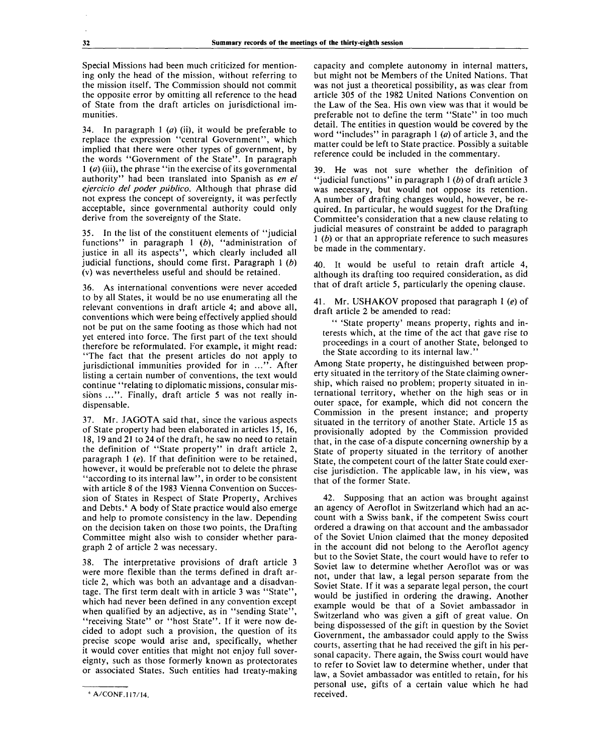Special Missions had been much criticized for mentioning only the head of the mission, without referring to the mission itself. The Commission should not commit the opposite error by omitting all reference to the head of State from the draft articles on jurisdictional immunities.

34. In paragraph 1 *(a)* (ii), it would be preferable to replace the expression "central Government", which implied that there were other types of government, by the words "Government of the State". In paragraph 1 *(a)* (iii), the phrase "in the exercise of its governmental authority" had been translated into Spanish as *en el ejercicio del poder publico.* Although that phrase did not express the concept of sovereignty, it was perfectly acceptable, since governmental authority could only derive from the sovereignty of the State.

35. In the list of the constituent elements of "judicial functions" in paragraph 1 *(b),* "administration of justice in all its aspects", which clearly included all judicial functions, should come first. Paragraph 1 *(b)* (v) was nevertheless useful and should be retained.

36. As international conventions were never acceded to by all States, it would be no use enumerating all the relevant conventions in draft article 4; and above all, conventions which were being effectively applied should not be put on the same footing as those which had not yet entered into force. The first part of the text should therefore be reformulated. For example, it might read: "The fact that the present articles do not apply to jurisdictional immunities provided for in ...". After listing a certain number of conventions, the text would continue "relating to diplomatic missions, consular missions ...". Finally, draft article 5 was not really indispensable.

37. Mr. JAGOTA said that, since the various aspects of State property had been elaborated in articles 15, 16, 18, 19 and 21 to 24 of the draft, he saw no need to retain the definition of "State property" in draft article 2, paragraph 1 *(e).* If that definition were to be retained, however, it would be preferable not to delete the phrase "according to its internal law", in order to be consistent with article 8 of the 1983 Vienna Convention on Succession of States in Respect of State Property, Archives and Debts.<sup>6</sup> A body of State practice would also emerge and help to promote consistency in the law. Depending on the decision taken on those two points, the Drafting Committee might also wish to consider whether paragraph 2 of article 2 was necessary.

38. The interpretative provisions of draft article 3 were more flexible than the terms defined in draft article 2, which was both an advantage and a disadvantage. The first term dealt with in article 3 was "State", which had never been defined in any convention except when qualified by an adjective, as in "sending State", "receiving State" or "host State". If it were now decided to adopt such a provision, the question of its precise scope would arise and, specifically, whether it would cover entities that might not enjoy full sovereignty, such as those formerly known as protectorates or associated States. Such entities had treaty-making

capacity and complete autonomy in internal matters, but might not be Members of the United Nations. That was not just a theoretical possibility, as was clear from article 305 of the 1982 United Nations Convention on the Law of the Sea. His own view was that it would be preferable not to define the term "State" in too much detail. The entities in question would be covered by the word "includes" in paragraph 1 *(a)* of article 3, and the matter could be left to State practice. Possibly a suitable reference could be included in the commentary.

39. He was not sure whether the definition of "judicial functions" in paragraph 1 *(b)* of draft article 3 was necessary, but would not oppose its retention. A number of drafting changes would, however, be required. In particular, he would suggest for the Drafting Committee's consideration that a new clause relating to judicial measures of constraint be added to paragraph 1 *(b)* or that an appropriate reference to such measures be made in the commentary.

40. It would be useful to retain draft article 4, although its drafting too required consideration, as did that of draft article 5, particularly the opening clause.

41. Mr. USHAKOV proposed that paragraph 1 *(e)* of draft article 2 be amended to read:

" 'State property' means property, rights and interests which, at the time of the act that gave rise to proceedings in a court of another State, belonged to the State according to its internal law."

Among State property, he distinguished between property situated in the territory of the State claiming ownership, which raised no problem; property situated in international territory, whether on the high seas or in outer space, for example, which did not concern the Commission in the present instance; and property situated in the territory of another State. Article 15 as provisionally adopted by the Commission provided that, in the case of-a dispute concerning ownership by a State of property situated in the territory of another State, the competent court of the latter State could exercise jurisdiction. The applicable law, in his view, was that of the former State.

42. Supposing that an action was brought against an agency of Aeroflot in Switzerland which had an account with a Swiss bank, if the competent Swiss court ordered a drawing on that account and the ambassador of the Soviet Union claimed that the money deposited in the account did not belong to the Aeroflot agency but to the Soviet State, the court would have to refer to Soviet law to determine whether Aeroflot was or was not, under that law, a legal person separate from the Soviet State. If it was a separate legal person, the court would be justified in ordering the drawing. Another example would be that of a Soviet ambassador in Switzerland who was given a gift of great value. On being dispossessed of the gift in question by the Soviet Government, the ambassador could apply to the Swiss courts, asserting that he had received the gift in his personal capacity. There again, the Swiss court would have to refer to Soviet law to determine whether, under that law, a Soviet ambassador was entitled to retain, for his personal use, gifts of a certain value which he had received.

**A/CONF.117/14.**